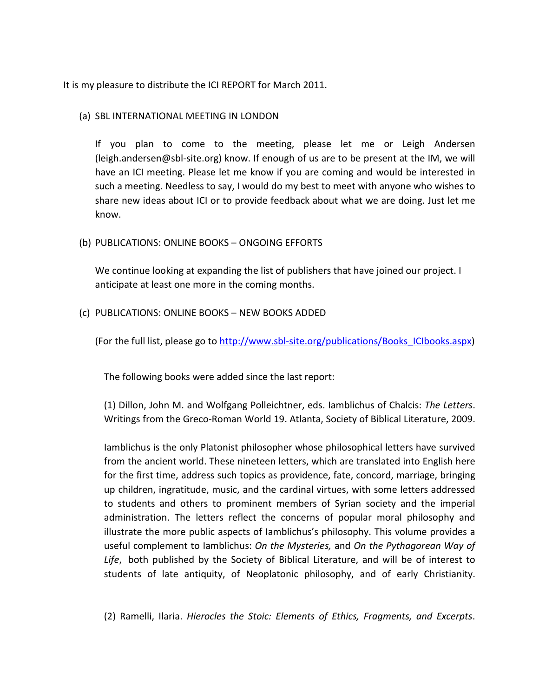It is my pleasure to distribute the ICI REPORT for March 2011.

## (a) SBL INTERNATIONAL MEETING IN LONDON

If you plan to come to the meeting, please let me or Leigh Andersen (leigh.andersen@sbl-site.org) know. If enough of us are to be present at the IM, we will have an ICI meeting. Please let me know if you are coming and would be interested in such a meeting. Needless to say, I would do my best to meet with anyone who wishes to share new ideas about ICI or to provide feedback about what we are doing. Just let me know.

## (b) PUBLICATIONS: ONLINE BOOKS – ONGOING EFFORTS

We continue looking at expanding the list of publishers that have joined our project. I anticipate at least one more in the coming months.

(c) PUBLICATIONS: ONLINE BOOKS – NEW BOOKS ADDED

(For the full list, please go to http://www.sbl-site.org/publications/Books\_ICIbooks.aspx)

The following books were added since the last report:

(1) Dillon, John M. and Wolfgang Polleichtner, eds. Iamblichus of Chalcis: *The Letters*. Writings from the Greco-Roman World 19. Atlanta, Society of Biblical Literature, 2009.

Iamblichus is the only Platonist philosopher whose philosophical letters have survived from the ancient world. These nineteen letters, which are translated into English here for the first time, address such topics as providence, fate, concord, marriage, bringing up children, ingratitude, music, and the cardinal virtues, with some letters addressed to students and others to prominent members of Syrian society and the imperial administration. The letters reflect the concerns of popular moral philosophy and illustrate the more public aspects of Iamblichus's philosophy. This volume provides a useful complement to Iamblichus: *On the Mysteries,* and *On the Pythagorean Way of Life*, both published by the Society of Biblical Literature, and will be of interest to students of late antiquity, of Neoplatonic philosophy, and of early Christianity.

(2) Ramelli, Ilaria. *Hierocles the Stoic: Elements of Ethics, Fragments, and Excerpts*.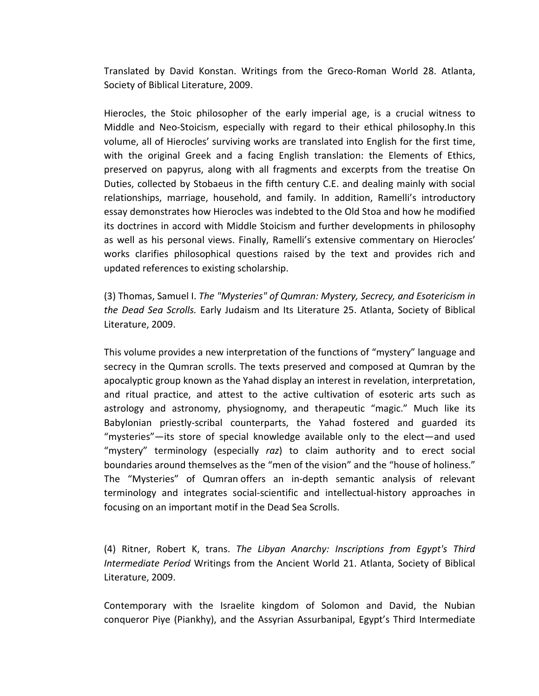Translated by David Konstan. Writings from the Greco-Roman World 28. Atlanta, Society of Biblical Literature, 2009.

Hierocles, the Stoic philosopher of the early imperial age, is a crucial witness to Middle and Neo-Stoicism, especially with regard to their ethical philosophy.In this volume, all of Hierocles' surviving works are translated into English for the first time, with the original Greek and a facing English translation: the Elements of Ethics, preserved on papyrus, along with all fragments and excerpts from the treatise On Duties, collected by Stobaeus in the fifth century C.E. and dealing mainly with social relationships, marriage, household, and family. In addition, Ramelli's introductory essay demonstrates how Hierocles was indebted to the Old Stoa and how he modified its doctrines in accord with Middle Stoicism and further developments in philosophy as well as his personal views. Finally, Ramelli's extensive commentary on Hierocles' works clarifies philosophical questions raised by the text and provides rich and updated references to existing scholarship.

(3) Thomas, Samuel I. *The "Mysteries" of Qumran: Mystery, Secrecy, and Esotericism in the Dead Sea Scrolls.* Early Judaism and Its Literature 25. Atlanta, Society of Biblical Literature, 2009.

This volume provides a new interpretation of the functions of "mystery" language and secrecy in the Qumran scrolls. The texts preserved and composed at Qumran by the apocalyptic group known as the Yahad display an interest in revelation, interpretation, and ritual practice, and attest to the active cultivation of esoteric arts such as astrology and astronomy, physiognomy, and therapeutic "magic." Much like its Babylonian priestly-scribal counterparts, the Yahad fostered and guarded its "mysteries"—its store of special knowledge available only to the elect—and used "mystery" terminology (especially *raz*) to claim authority and to erect social boundaries around themselves as the "men of the vision" and the "house of holiness." The "Mysteries" of Qumran offers an in-depth semantic analysis of relevant terminology and integrates social-scientific and intellectual-history approaches in focusing on an important motif in the Dead Sea Scrolls.

(4) Ritner, Robert K, trans. *The Libyan Anarchy: Inscriptions from Egypt's Third Intermediate Period* Writings from the Ancient World 21. Atlanta, Society of Biblical Literature, 2009.

Contemporary with the Israelite kingdom of Solomon and David, the Nubian conqueror Piye (Piankhy), and the Assyrian Assurbanipal, Egypt's Third Intermediate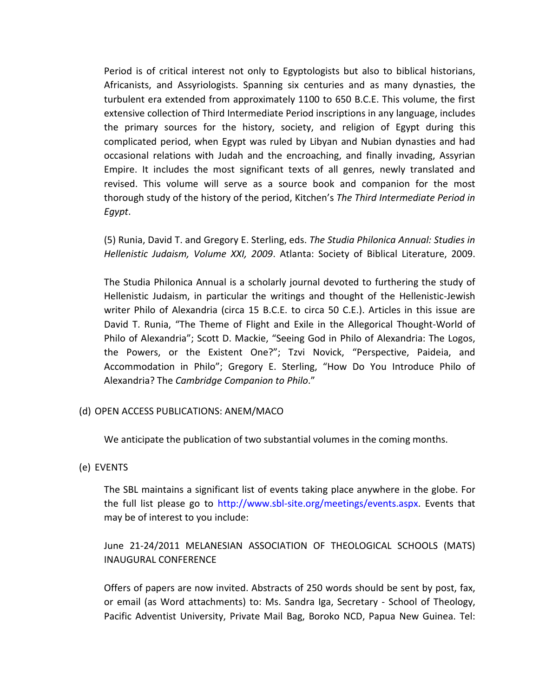Period is of critical interest not only to Egyptologists but also to biblical historians, Africanists, and Assyriologists. Spanning six centuries and as many dynasties, the turbulent era extended from approximately 1100 to 650 B.C.E. This volume, the first extensive collection of Third Intermediate Period inscriptions in any language, includes the primary sources for the history, society, and religion of Egypt during this complicated period, when Egypt was ruled by Libyan and Nubian dynasties and had occasional relations with Judah and the encroaching, and finally invading, Assyrian Empire. It includes the most significant texts of all genres, newly translated and revised. This volume will serve as a source book and companion for the most thorough study of the history of the period, Kitchen's *The Third Intermediate Period in Egypt*.

(5) Runia, David T. and Gregory E. Sterling, eds. *The Studia Philonica Annual: Studies in Hellenistic Judaism, Volume XXI, 2009*. Atlanta: Society of Biblical Literature, 2009.

The Studia Philonica Annual is a scholarly journal devoted to furthering the study of Hellenistic Judaism, in particular the writings and thought of the Hellenistic-Jewish writer Philo of Alexandria (circa 15 B.C.E. to circa 50 C.E.). Articles in this issue are David T. Runia, "The Theme of Flight and Exile in the Allegorical Thought-World of Philo of Alexandria"; Scott D. Mackie, "Seeing God in Philo of Alexandria: The Logos, the Powers, or the Existent One?"; Tzvi Novick, "Perspective, Paideia, and Accommodation in Philo"; Gregory E. Sterling, "How Do You Introduce Philo of Alexandria? The *Cambridge Companion to Philo*."

## (d) OPEN ACCESS PUBLICATIONS: ANEM/MACO

We anticipate the publication of two substantial volumes in the coming months.

### (e) EVENTS

The SBL maintains a significant list of events taking place anywhere in the globe. For the full list please go to http://www.sbl-site.org/meetings/events.aspx. Events that may be of interest to you include:

# June 21-24/2011 MELANESIAN ASSOCIATION OF THEOLOGICAL SCHOOLS (MATS) INAUGURAL CONFERENCE

Offers of papers are now invited. Abstracts of 250 words should be sent by post, fax, or email (as Word attachments) to: Ms. Sandra Iga, Secretary - School of Theology, Pacific Adventist University, Private Mail Bag, Boroko NCD, Papua New Guinea. Tel: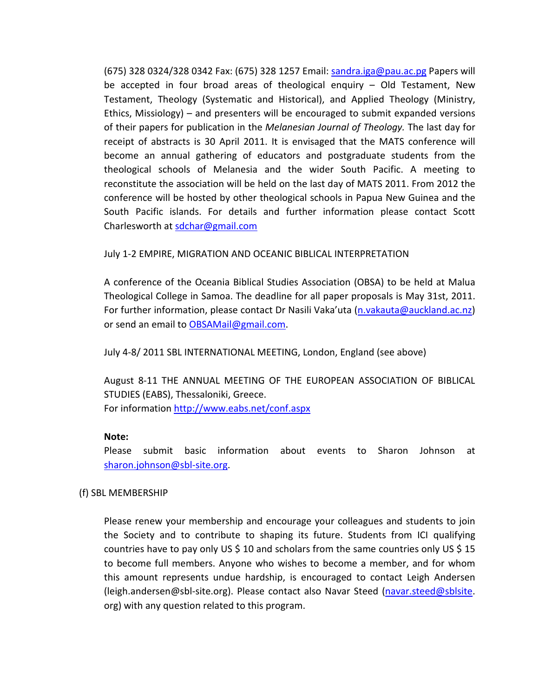(675) 328 0324/328 0342 Fax: (675) 328 1257 Email: sandra.iga@pau.ac.pg Papers will be accepted in four broad areas of theological enquiry – Old Testament, New Testament, Theology (Systematic and Historical), and Applied Theology (Ministry, Ethics, Missiology) – and presenters will be encouraged to submit expanded versions of their papers for publication in the *Melanesian Journal of Theology.* The last day for receipt of abstracts is 30 April 2011. It is envisaged that the MATS conference will become an annual gathering of educators and postgraduate students from the theological schools of Melanesia and the wider South Pacific. A meeting to reconstitute the association will be held on the last day of MATS 2011. From 2012 the conference will be hosted by other theological schools in Papua New Guinea and the South Pacific islands. For details and further information please contact Scott Charlesworth at sdchar@gmail.com

### July 1-2 EMPIRE, MIGRATION AND OCEANIC BIBLICAL INTERPRETATION

A conference of the Oceania Biblical Studies Association (OBSA) to be held at Malua Theological College in Samoa. The deadline for all paper proposals is May 31st, 2011. For further information, please contact Dr Nasili Vaka'uta (n.vakauta@auckland.ac.nz) or send an email to OBSAMail@gmail.com.

July 4-8/ 2011 SBL INTERNATIONAL MEETING, London, England (see above)

August 8-11 THE ANNUAL MEETING OF THE EUROPEAN ASSOCIATION OF BIBLICAL STUDIES (EABS), Thessaloniki, Greece. For information http://www.eabs.net/conf.aspx

### **Note:**

Please submit basic information about events to Sharon Johnson at sharon.johnson@sbl-site.org.

## (f) SBL MEMBERSHIP

Please renew your membership and encourage your colleagues and students to join the Society and to contribute to shaping its future. Students from ICI qualifying countries have to pay only US \$ 10 and scholars from the same countries only US \$ 15 to become full members. Anyone who wishes to become a member, and for whom this amount represents undue hardship, is encouraged to contact Leigh Andersen (leigh.andersen@sbl-site.org). Please contact also Navar Steed (navar.steed@sblsite. org) with any question related to this program.